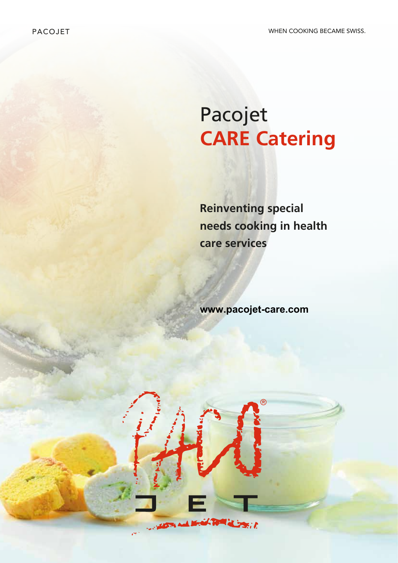# Pacojet **CARE Catering**

**Reinventing special needs cooking in health care services**

**www.pacojet-care.com**

**CONTRACTOR** 

**PART OF** 

م بيونيا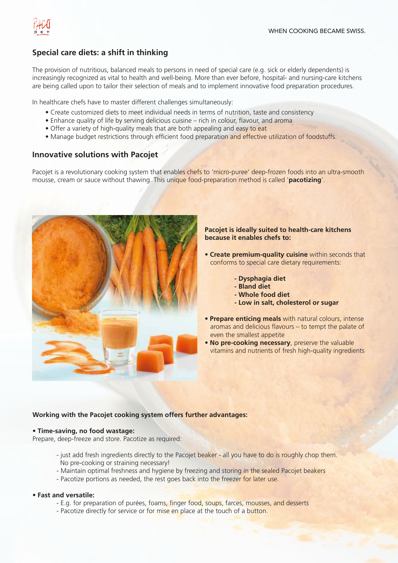

### **Special care diets: a shift in thinking**

The provision of nutritious, balanced meals to persons in need of special care (e.g. sick or elderly dependents) is increasingly recognized as vital to health and well-being. More than ever before, hospital- and nursing-care kitchens are being called upon to tailor their selection of meals and to implement innovative food preparation procedures.

In healthcare chefs have to master different challenges simultaneously:

- Create customized diets to meet individual needs in terms of nutrition, taste and consistency
- Enhance quality of life by serving delicious cuisine rich in colour, flavour, and aroma
- Offer a variety of high-quality meals that are both appealing and easy to eat
- Manage budget restrictions through efficient food preparation and effective utilization of foodstuffs.

### **Innovative solutions with Pacojet**

Pacojet is a revolutionary cooking system that enables chefs to 'micro-puree' deep-frozen foods into an ultra-smooth mousse, cream or sauce without thawing. This unique food-preparation method is called '**pacotizing**'.



### **Pacojet is ideally suited to health-care kitchens because it enables chefs to:**

- **Create premium-quality cuisine** within seconds that conforms to special care dietary requirements:
	- **Dysphagia diet**
	- **Bland diet**
	- **Whole food diet**
	- **Low in salt, cholesterol or sugar**
- **Prepare enticing meals** with natural colours, intense aromas and delicious flavours – to tempt the palate of even the smallest appetite
- **No pre-cooking necessary**, preserve the valuable vitamins and nutrients of fresh high-quality ingredients

### **Working with the Pacojet cooking system offers further advantages:**

### • **Time-saving, no food wastage:**

Prepare, deep-freeze and store. Pacotize as required:

- just add fresh ingredients directly to the Pacojet beaker all you have to do is roughly chop them. No pre-cooking or straining necessary!
- Maintain optimal freshness and hygiene by freezing and storing in the sealed Pacojet beakers
- Pacotize portions as needed, the rest goes back into the freezer for later use.

### • **Fast and versatile:**

- E.g. for preparation of purées, foams, finger food, soups, farces, mousses, and desserts
- Pacotize directly for service or for mise en place at the touch of a button.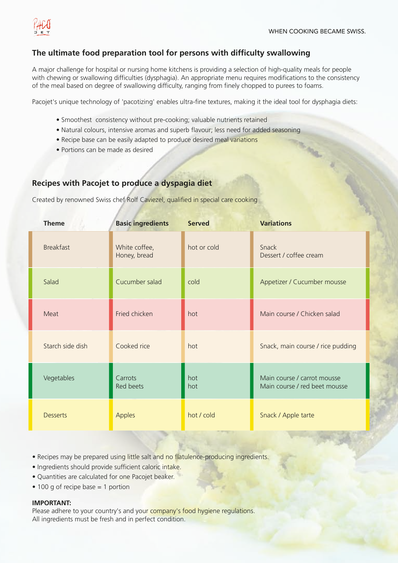

**MAG** 

### **The ultimate food preparation tool for persons with difficulty swallowing**

A major challenge for hospital or nursing home kitchens is providing a selection of high-quality meals for people with chewing or swallowing difficulties (dysphagia). An appropriate menu requires modifications to the consistency of the meal based on degree of swallowing difficulty, ranging from finely chopped to purees to foams.

Pacojet's unique technology of 'pacotizing' enables ultra-fine textures, making it the ideal tool for dysphagia diets:

- Smoothest consistency without pre-cooking; valuable nutrients retained
- Natural colours, intensive aromas and superb flavour; less need for added seasoning
- Recipe base can be easily adapted to produce desired meal variations
- Portions can be made as desired

### **Recipes with Pacojet to produce a dyspagia diet**

Created by renowned Swiss chef Rolf Caviezel, qualified in special care cooking

| <b>Theme</b>     | <b>Basic ingredients</b>      | <b>Served</b> | <b>Variations</b>                                            |
|------------------|-------------------------------|---------------|--------------------------------------------------------------|
| <b>Breakfast</b> | White coffee,<br>Honey, bread | hot or cold   | Snack<br>Dessert / coffee cream                              |
| Salad            | Cucumber salad                | cold          | Appetizer / Cucumber mousse                                  |
| Meat             | Fried chicken                 | hot           | Main course / Chicken salad                                  |
| Starch side dish | Cooked rice                   | hot           | Snack, main course / rice pudding                            |
| Vegetables       | Carrots<br>Red beets          | hot<br>hot    | Main course / carrot mousse<br>Main course / red beet mousse |
| <b>Desserts</b>  | <b>Apples</b>                 | hot / cold    | Snack / Apple tarte                                          |

- Recipes may be prepared using little salt and no flatulence-producing ingredients.
- Ingredients should provide sufficient caloric intake.
- Quantities are calculated for one Pacojet beaker.
- 100 g of recipe base = 1 portion

### **IMPORTANT:**

Please adhere to your country's and your company's food hygiene regulations. All ingredients must be fresh and in perfect condition.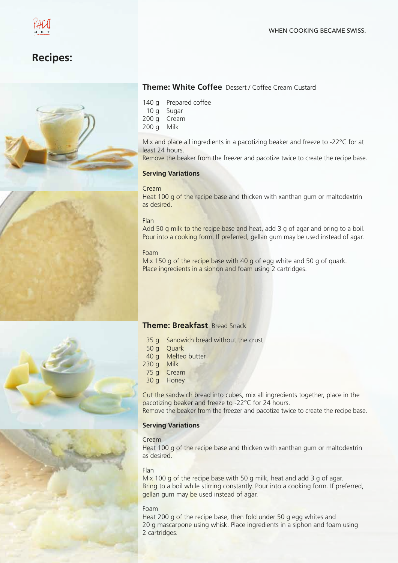





### **Theme: White Coffee** Dessert / Coffee Cream Custard

- 140 g Prepared coffee
- 10 g Sugar
- 200 g Cream
- 200 g Milk

Mix and place all ingredients in a pacotizing beaker and freeze to -22°C for at least 24 hours.

Remove the beaker from the freezer and pacotize twice to create the recipe base.

### **Serving Variations**

### Cream

Heat 100 g of the recipe base and thicken with xanthan gum or maltodextrin as desired.

### Flan

Add 50 g milk to the recipe base and heat, add 3 g of agar and bring to a boil. Pour into a cooking form. If preferred, gellan gum may be used instead of agar.

### Foam

Mix 150 g of the recipe base with 40 g of egg white and 50 g of quark. Place ingredients in a siphon and foam using 2 cartridges.



### **Theme: Breakfast** Bread Snack

- 35 g Sandwich bread without the crust
- 50 g Ouark
- 40 g Melted butter
- 230 g Milk
- 75 g Cream
- 30 g Honey

Cut the sandwich bread into cubes, mix all ingredients together, place in the pacotizing beaker and freeze to -22°C for 24 hours.

Remove the beaker from the freezer and pacotize twice to create the recipe base.

### **Serving Variations**

### Cream

Heat 100 g of the recipe base and thicken with xanthan gum or maltodextrin as desired.

### Flan

Mix 100 g of the recipe base with 50 g milk, heat and add 3 g of agar. Bring to a boil while stirring constantly. Pour into a cooking form. If preferred, gellan gum may be used instead of agar.

### Foam

Heat 200 g of the recipe base, then fold under 50 g egg whites and 20 g mascarpone using whisk. Place ingredients in a siphon and foam using 2 cartridges.

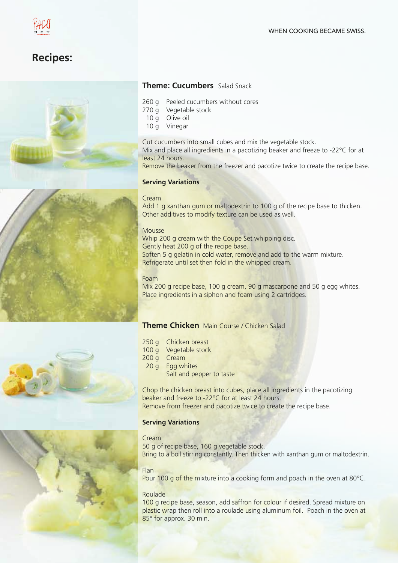### **Recipes:**





### **Theme: Cucumbers** Salad Snack

- 260 g Peeled cucumbers without cores
- 270 g Vegetable stock
- 10 g Olive oil
- 10 g Vinegar

Cut cucumbers into small cubes and mix the vegetable stock. Mix and place all ingredients in a pacotizing beaker and freeze to -22°C for at least 24 hours.

Remove the beaker from the freezer and pacotize twice to create the recipe base.

### **Serving Variations**

### Cream

Add 1 g xanthan gum or maltodextrin to 100 g of the recipe base to thicken. Other additives to modify texture can be used as well.

### Mousse

Whip 200 g cream with the Coupe Set whipping disc. Gently heat 200 g of the recipe base. Soften 5 g gelatin in cold water, remove and add to the warm mixture. Refrigerate until set then fold in the whipped cream.

### Foam

Mix 200 g recipe base, 100 g cream, 90 g mascarpone and 50 g egg whites. Place ingredients in a siphon and foam using 2 cartridges.

### **Theme Chicken** Main Course / Chicken Salad

- 250 g Chicken breast
- 100 g Vegetable stock
- 200 g Cream
- 20 g Egg whites
	- Salt and pepper to taste

Chop the chicken breast into cubes, place all ingredients in the pacotizing beaker and freeze to -22°C for at least 24 hours. Remove from freezer and pacotize twice to create the recipe base.

### **Serving Variations**

### Cream

50 g of recipe base, 160 g vegetable stock. Bring to a boil stirring constantly. Then thicken with xanthan gum or maltodextrin.

### Flan

Pour 100 g of the mixture into a cooking form and poach in the oven at 80°C.

### Roulade

100 g recipe base, season, add saffron for colour if desired. Spread mixture on plastic wrap then roll into a roulade using aluminum foil. Poach in the oven at 85° for approx. 30 min.

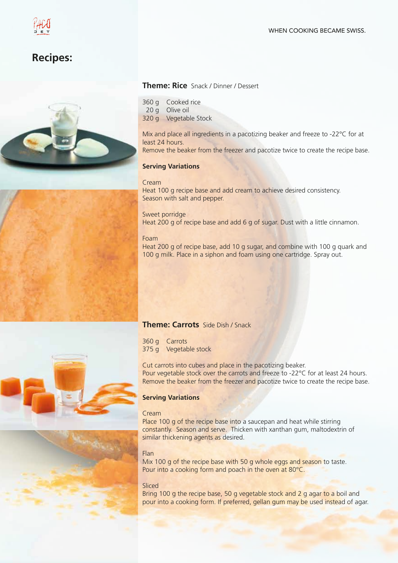## **Recipes:**





- 360 g Cooked rice
- 20 g Olive oil
- 320 g Vegetable Stock

Mix and place all ingredients in a pacotizing beaker and freeze to -22°C for at least 24 hours.

Remove the beaker from the freezer and pacotize twice to create the recipe base.

### **Serving Variations**

### Cream

Heat 100 g recipe base and add cream to achieve desired consistency. Season with salt and pepper.

### Sweet porridge

Heat 200 g of recipe base and add 6 g of sugar. Dust with a little cinnamon.

### Foam

Heat 200 g of recipe base, add 10 g sugar, and combine with 100 g quark and 100 g milk. Place in a siphon and foam using one cartridge. Spray out.

### **Theme: Carrots** Side Dish / Snack

360 g Carrots 375 g Vegetable stock

Cut carrots into cubes and place in the pacotizing beaker. Pour vegetable stock over the carrots and freeze to -22°C for at least 24 hours. Remove the beaker from the freezer and pacotize twice to create the recipe base.

### **Serving Variations**

### Cream

Place 100 g of the recipe base into a saucepan and heat while stirring constantly. Season and serve. Thicken with xanthan gum, maltodextrin of similar thickening agents as desired.

### Flan

Mix 100 g of the recipe base with 50 g whole eggs and season to taste. Pour into a cooking form and poach in the oven at 80°C.

### Sliced

Bring 100 g the recipe base, 50 g vegetable stock and 2 g agar to a boil and pour into a cooking form. If preferred, gellan gum may be used instead of agar.





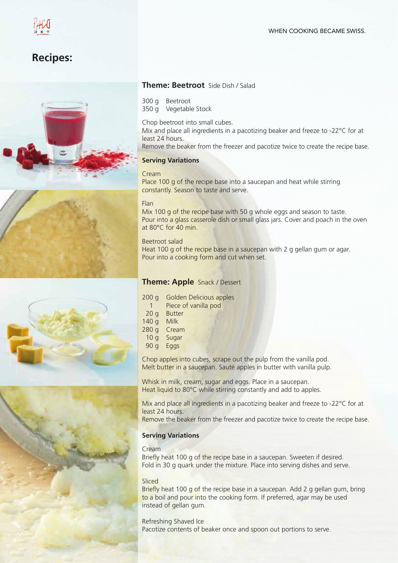### **Recipes:**









### **Theme: Beetroot** Side Dish / Salad

300 g Beetroot

350 g Vegetable Stock

Chop beetroot into small cubes.

Mix and place all ingredients in a pacotizing beaker and freeze to -22°C for at least 24 hours.

Remove the beaker from the freezer and pacotize twice to create the recipe base.

### **Serving Variations**

### Cream

Place 100 g of the recipe base into a saucepan and heat while stirring constantly. Season to taste and serve.

### Flan

Mix 100 g of the recipe base with 50 g whole eggs and season to taste. Pour into a glass casserole dish or small glass jars. Cover and poach in the oven at 80°C for 40 min.

### Beetroot salad

Heat 100 g of the recipe base in a saucepan with 2 g gellan gum or agar. Pour into a cooking form and cut when set.

### **Theme: Apple** Snack / Dessert

- 200 g Golden Delicious apples
	- 1 Piece of vanilla pod
- 20 g Butter
- 140 g Milk
- 280 g Cream
- 10 g Sugar
- 90 g Eggs

Chop apples into cubes, scrape out the pulp from the vanilla pod. Melt butter in a saucepan. Sauté apples in butter with vanilla pulp.

Whisk in milk, cream, sugar and eggs. Place in a saucepan. Heat liquid to 80°C while stirring constantly and add to apples.

Mix and place all ingredients in a pacotizing beaker and freeze to -22<sup>o</sup>C for at least 24 hours.

Remove the beaker from the freezer and pacotize twice to create the recipe base.

### **Serving Variations**

### Cream

Briefly heat 100 g of the recipe base in a saucepan. Sweeten if desired. Fold in 30 g quark under the mixture. Place into serving dishes and serve.

### **Sliced**

Briefly heat 100 g of the recipe base in a saucepan. Add 2 g gellan gum, bring to a boil and pour into the cooking form. If preferred, agar may be used instead of gellan gum.

Refreshing Shaved Ice Pacotize contents of beaker once and spoon out portions to serve.